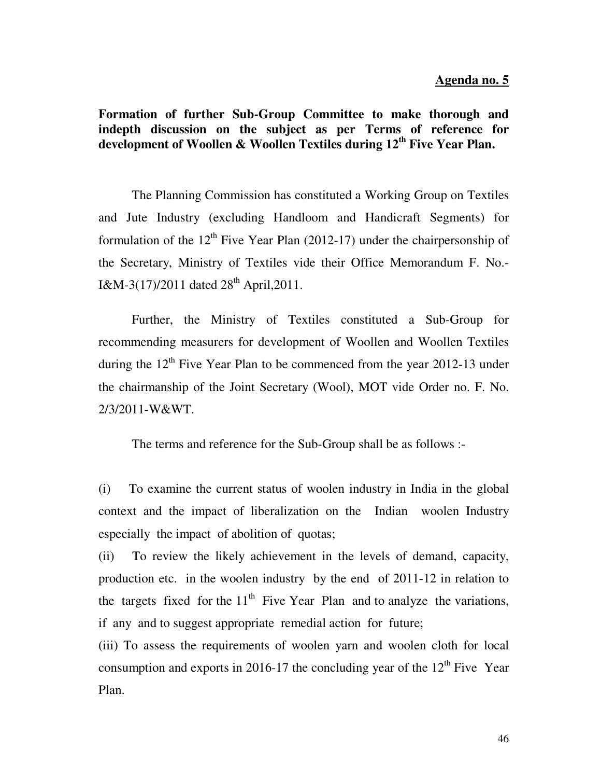## **Formation of further Sub-Group Committee to make thorough and indepth discussion on the subject as per Terms of reference for development of Woollen & Woollen Textiles during 12th Five Year Plan.**

 The Planning Commission has constituted a Working Group on Textiles and Jute Industry (excluding Handloom and Handicraft Segments) for formulation of the  $12<sup>th</sup>$  Five Year Plan (2012-17) under the chairpersonship of the Secretary, Ministry of Textiles vide their Office Memorandum F. No.- I&M-3(17)/2011 dated  $28<sup>th</sup>$  April, 2011.

 Further, the Ministry of Textiles constituted a Sub-Group for recommending measurers for development of Woollen and Woollen Textiles during the  $12<sup>th</sup>$  Five Year Plan to be commenced from the year 2012-13 under the chairmanship of the Joint Secretary (Wool), MOT vide Order no. F. No. 2/3/2011-W&WT.

The terms and reference for the Sub-Group shall be as follows :-

(i) To examine the current status of woolen industry in India in the global context and the impact of liberalization on the Indian woolen Industry especially the impact of abolition of quotas;

(ii) To review the likely achievement in the levels of demand, capacity, production etc. in the woolen industry by the end of 2011-12 in relation to the targets fixed for the  $11<sup>th</sup>$  Five Year Plan and to analyze the variations, if any and to suggest appropriate remedial action for future;

(iii) To assess the requirements of woolen yarn and woolen cloth for local consumption and exports in 2016-17 the concluding year of the  $12<sup>th</sup>$  Five Year Plan.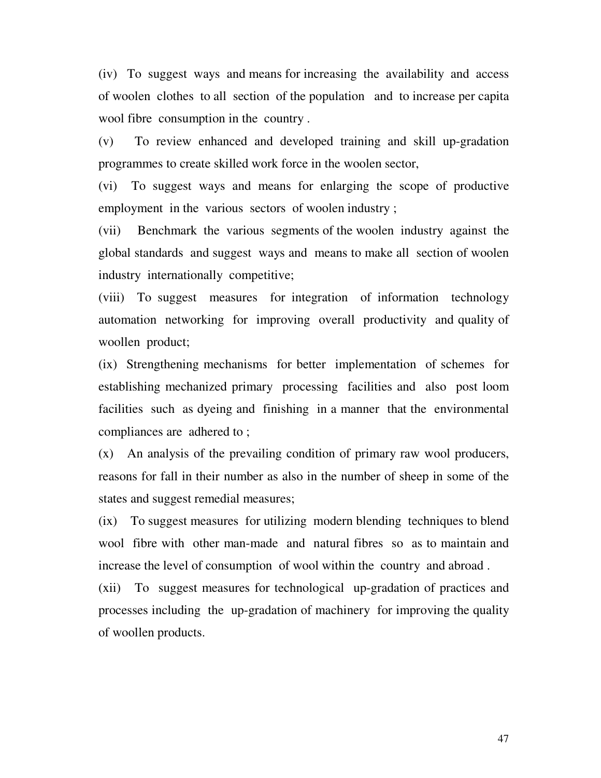(iv) To suggest ways and means for increasing the availability and access of woolen clothes to all section of the population and to increase per capita wool fibre consumption in the country .

(v) To review enhanced and developed training and skill up-gradation programmes to create skilled work force in the woolen sector,

(vi) To suggest ways and means for enlarging the scope of productive employment in the various sectors of woolen industry ;

(vii) Benchmark the various segments of the woolen industry against the global standards and suggest ways and means to make all section of woolen industry internationally competitive;

(viii) To suggest measures for integration of information technology automation networking for improving overall productivity and quality of woollen product;

(ix) Strengthening mechanisms for better implementation of schemes for establishing mechanized primary processing facilities and also post loom facilities such as dyeing and finishing in a manner that the environmental compliances are adhered to ;

(x) An analysis of the prevailing condition of primary raw wool producers, reasons for fall in their number as also in the number of sheep in some of the states and suggest remedial measures;

(ix) To suggest measures for utilizing modern blending techniques to blend wool fibre with other man-made and natural fibres so as to maintain and increase the level of consumption of wool within the country and abroad .

(xii) To suggest measures for technological up-gradation of practices and processes including the up-gradation of machinery for improving the quality of woollen products.

47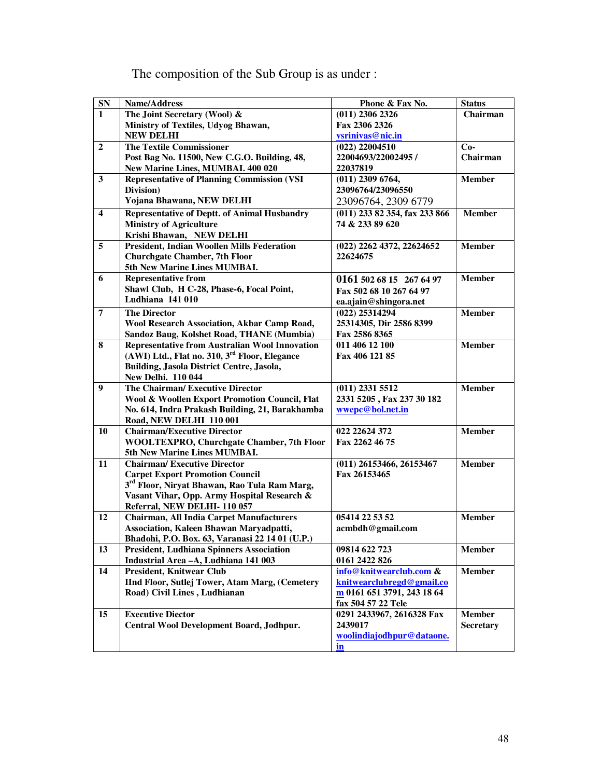| ${\bf SN}$              | Name/Address                                                                     | Phone & Fax No.                       | <b>Status</b>    |
|-------------------------|----------------------------------------------------------------------------------|---------------------------------------|------------------|
| $\mathbf{1}$            | The Joint Secretary (Wool) &                                                     | $(011)$ 2306 2326                     | Chairman         |
|                         | Ministry of Textiles, Udyog Bhawan,                                              | Fax 2306 2326                         |                  |
|                         | <b>NEW DELHI</b>                                                                 | vsrinivas@nic.in                      |                  |
| $\overline{2}$          | The Textile Commissioner                                                         | $(022)$ 22004510                      | $Co-$            |
|                         | Post Bag No. 11500, New C.G.O. Building, 48,                                     | 22004693/22002495 /                   | Chairman         |
|                         | New Marine Lines, MUMBAI. 400 020                                                | 22037819                              |                  |
| 3                       | <b>Representative of Planning Commission (VSI)</b>                               | $(011)$ 2309 6764,                    | <b>Member</b>    |
|                         | Division)                                                                        | 23096764/23096550                     |                  |
|                         | Yojana Bhawana, NEW DELHI                                                        | 23096764, 2309 6779                   |                  |
| $\overline{\mathbf{4}}$ | <b>Representative of Deptt. of Animal Husbandry</b>                              | $(011)$ 233 82 354, fax 233 866       | <b>Member</b>    |
|                         | <b>Ministry of Agriculture</b>                                                   | 74 & 233 89 620                       |                  |
| 5                       | Krishi Bhawan, NEW DELHI<br><b>President, Indian Woollen Mills Federation</b>    |                                       | <b>Member</b>    |
|                         | <b>Churchgate Chamber, 7th Floor</b>                                             | (022) 2262 4372, 22624652<br>22624675 |                  |
|                         | 5th New Marine Lines MUMBAI.                                                     |                                       |                  |
| 6                       | <b>Representative from</b>                                                       | 0161 502 68 15 267 64 97              | <b>Member</b>    |
|                         | Shawl Club, H C-28, Phase-6, Focal Point,                                        | Fax 502 68 10 267 64 97               |                  |
|                         | Ludhiana 141 010                                                                 | ea.ajain@shingora.net                 |                  |
| $\overline{7}$          | <b>The Director</b>                                                              | $(022)$ 25314294                      | <b>Member</b>    |
|                         | <b>Wool Research Association, Akbar Camp Road,</b>                               | 25314305, Dir 2586 8399               |                  |
|                         | Sandoz Baug, Kolshet Road, THANE (Mumbia)                                        | Fax 2586 8365                         |                  |
| 8                       | <b>Representative from Australian Wool Innovation</b>                            | 011 406 12 100                        | <b>Member</b>    |
|                         | (AWI) Ltd., Flat no. 310, 3 <sup>rd</sup> Floor, Elegance                        | Fax 406 121 85                        |                  |
|                         | Building, Jasola District Centre, Jasola,                                        |                                       |                  |
|                         | New Delhi. 110 044                                                               |                                       |                  |
| $\boldsymbol{9}$        | The Chairman/Executive Director                                                  | $(011)$ 2331 5512                     | <b>Member</b>    |
|                         | Wool & Woollen Export Promotion Council, Flat                                    | 2331 5205, Fax 237 30 182             |                  |
|                         | No. 614, Indra Prakash Building, 21, Barakhamba                                  | wwepc@bol.net.in                      |                  |
|                         | Road, NEW DELHI 110 001                                                          |                                       |                  |
| 10                      | <b>Chairman/Executive Director</b>                                               | 022 22624 372                         | <b>Member</b>    |
|                         | <b>WOOLTEXPRO, Churchgate Chamber, 7th Floor</b><br>5th New Marine Lines MUMBAI. | Fax 2262 46 75                        |                  |
| 11                      | <b>Chairman/Executive Director</b>                                               | $(011)$ 26153466, 26153467            | <b>Member</b>    |
|                         | <b>Carpet Export Promotion Council</b>                                           | Fax 26153465                          |                  |
|                         | 3 <sup>rd</sup> Floor, Niryat Bhawan, Rao Tula Ram Marg,                         |                                       |                  |
|                         | Vasant Vihar, Opp. Army Hospital Research &                                      |                                       |                  |
|                         | Referral, NEW DELHI-110 057                                                      |                                       |                  |
| 12                      | <b>Chairman, All India Carpet Manufacturers</b>                                  | 05414 22 53 52                        | <b>Member</b>    |
|                         | Association, Kaleen Bhawan Maryadpatti,                                          | acmbdh@gmail.com                      |                  |
|                         | Bhadohi, P.O. Box. 63, Varanasi 22 14 01 (U.P.)                                  |                                       |                  |
| 13                      | <b>President, Ludhiana Spinners Association</b>                                  | 09814 622 723                         | <b>Member</b>    |
|                         | Industrial Area - A, Ludhiana 141 003                                            | 0161 2422 826                         |                  |
| 14                      | President, Knitwear Club                                                         | info@knitwearclub.com &               | <b>Member</b>    |
|                         | IInd Floor, Sutlej Tower, Atam Marg, (Cemetery                                   | knitwearclubregd@gmail.co             |                  |
|                         | Road) Civil Lines, Ludhianan                                                     | m 0161 651 3791, 243 18 64            |                  |
|                         | <b>Executive Diector</b>                                                         | fax 504 57 22 Tele                    | <b>Member</b>    |
| 15                      | Central Wool Development Board, Jodhpur.                                         | 0291 2433967, 2616328 Fax<br>2439017  | <b>Secretary</b> |
|                         |                                                                                  | woolindiajodhpur@dataone.             |                  |
|                         |                                                                                  | in                                    |                  |
|                         |                                                                                  |                                       |                  |

## The composition of the Sub Group is as under :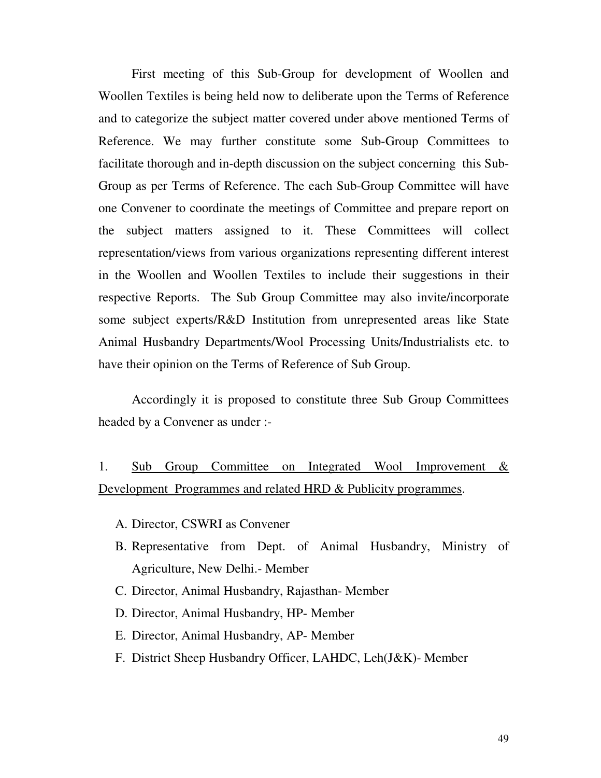First meeting of this Sub-Group for development of Woollen and Woollen Textiles is being held now to deliberate upon the Terms of Reference and to categorize the subject matter covered under above mentioned Terms of Reference. We may further constitute some Sub-Group Committees to facilitate thorough and in-depth discussion on the subject concerning this Sub-Group as per Terms of Reference. The each Sub-Group Committee will have one Convener to coordinate the meetings of Committee and prepare report on the subject matters assigned to it. These Committees will collect representation/views from various organizations representing different interest in the Woollen and Woollen Textiles to include their suggestions in their respective Reports. The Sub Group Committee may also invite/incorporate some subject experts/R&D Institution from unrepresented areas like State Animal Husbandry Departments/Wool Processing Units/Industrialists etc. to have their opinion on the Terms of Reference of Sub Group.

 Accordingly it is proposed to constitute three Sub Group Committees headed by a Convener as under :-

## 1. Sub Group Committee on Integrated Wool Improvement & Development Programmes and related HRD & Publicity programmes.

- A. Director, CSWRI as Convener
- B. Representative from Dept. of Animal Husbandry, Ministry of Agriculture, New Delhi.- Member
- C. Director, Animal Husbandry, Rajasthan- Member
- D. Director, Animal Husbandry, HP- Member
- E. Director, Animal Husbandry, AP- Member
- F. District Sheep Husbandry Officer, LAHDC, Leh(J&K)- Member